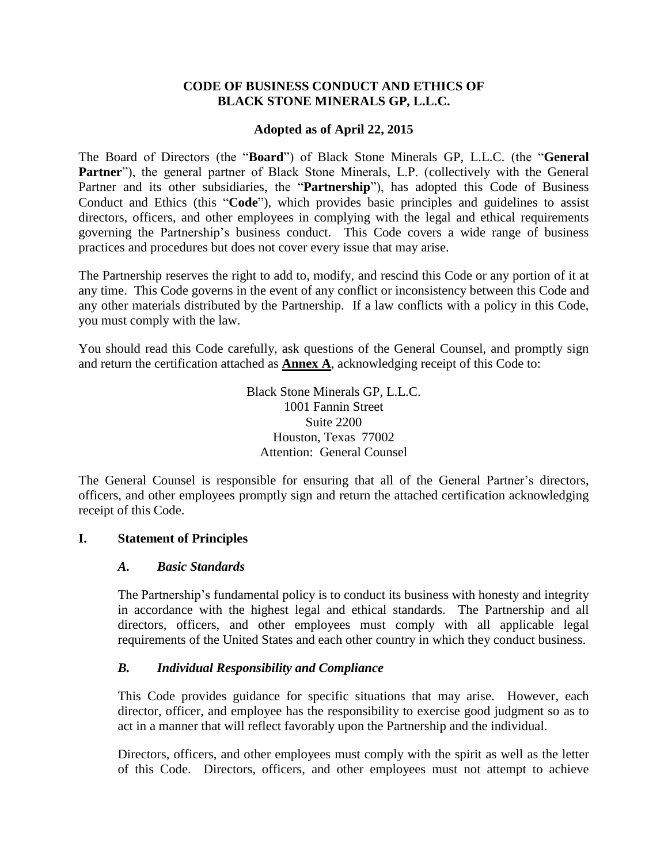#### **CODE OF BUSINESS CONDUCT AND ETHICS OF BLACK STONE MINERALS GP, L.L.C.**

#### **Adopted as of April 22, 2015**

The Board of Directors (the "**Board**") of Black Stone Minerals GP, L.L.C. (the "**General**  Partner"), the general partner of Black Stone Minerals, L.P. (collectively with the General Partner and its other subsidiaries, the "**Partnership**"), has adopted this Code of Business Conduct and Ethics (this "**Code**"), which provides basic principles and guidelines to assist directors, officers, and other employees in complying with the legal and ethical requirements governing the Partnership's business conduct. This Code covers a wide range of business practices and procedures but does not cover every issue that may arise.

The Partnership reserves the right to add to, modify, and rescind this Code or any portion of it at any time. This Code governs in the event of any conflict or inconsistency between this Code and any other materials distributed by the Partnership. If a law conflicts with a policy in this Code, you must comply with the law.

You should read this Code carefully, ask questions of the General Counsel, and promptly sign and return the certification attached as **Annex A**, acknowledging receipt of this Code to:

> Black Stone Minerals GP, L.L.C. 1001 Fannin Street Suite 2200 Houston, Texas 77002 Attention: General Counsel

The General Counsel is responsible for ensuring that all of the General Partner's directors, officers, and other employees promptly sign and return the attached certification acknowledging receipt of this Code.

#### **I. Statement of Principles**

#### *A. Basic Standards*

The Partnership's fundamental policy is to conduct its business with honesty and integrity in accordance with the highest legal and ethical standards. The Partnership and all directors, officers, and other employees must comply with all applicable legal requirements of the United States and each other country in which they conduct business.

#### *B. Individual Responsibility and Compliance*

This Code provides guidance for specific situations that may arise. However, each director, officer, and employee has the responsibility to exercise good judgment so as to act in a manner that will reflect favorably upon the Partnership and the individual.

Directors, officers, and other employees must comply with the spirit as well as the letter of this Code. Directors, officers, and other employees must not attempt to achieve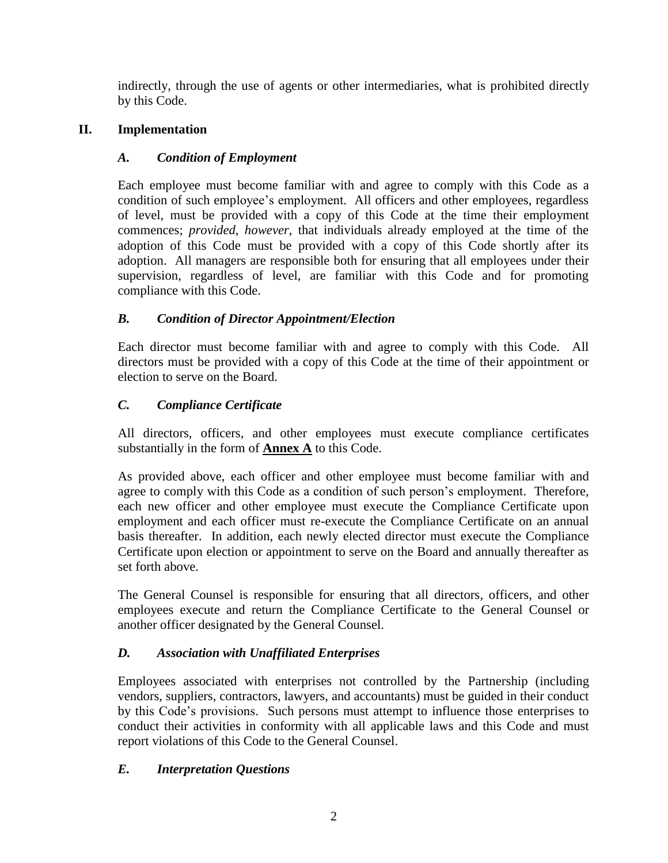indirectly, through the use of agents or other intermediaries, what is prohibited directly by this Code.

## **II. Implementation**

## *A. Condition of Employment*

Each employee must become familiar with and agree to comply with this Code as a condition of such employee's employment. All officers and other employees, regardless of level, must be provided with a copy of this Code at the time their employment commences; *provided*, *however*, that individuals already employed at the time of the adoption of this Code must be provided with a copy of this Code shortly after its adoption. All managers are responsible both for ensuring that all employees under their supervision, regardless of level, are familiar with this Code and for promoting compliance with this Code.

# *B. Condition of Director Appointment/Election*

Each director must become familiar with and agree to comply with this Code. All directors must be provided with a copy of this Code at the time of their appointment or election to serve on the Board.

# *C. Compliance Certificate*

All directors, officers, and other employees must execute compliance certificates substantially in the form of **Annex A** to this Code.

As provided above, each officer and other employee must become familiar with and agree to comply with this Code as a condition of such person's employment. Therefore, each new officer and other employee must execute the Compliance Certificate upon employment and each officer must re-execute the Compliance Certificate on an annual basis thereafter. In addition, each newly elected director must execute the Compliance Certificate upon election or appointment to serve on the Board and annually thereafter as set forth above.

The General Counsel is responsible for ensuring that all directors, officers, and other employees execute and return the Compliance Certificate to the General Counsel or another officer designated by the General Counsel.

# *D. Association with Unaffiliated Enterprises*

Employees associated with enterprises not controlled by the Partnership (including vendors, suppliers, contractors, lawyers, and accountants) must be guided in their conduct by this Code's provisions. Such persons must attempt to influence those enterprises to conduct their activities in conformity with all applicable laws and this Code and must report violations of this Code to the General Counsel.

# *E. Interpretation Questions*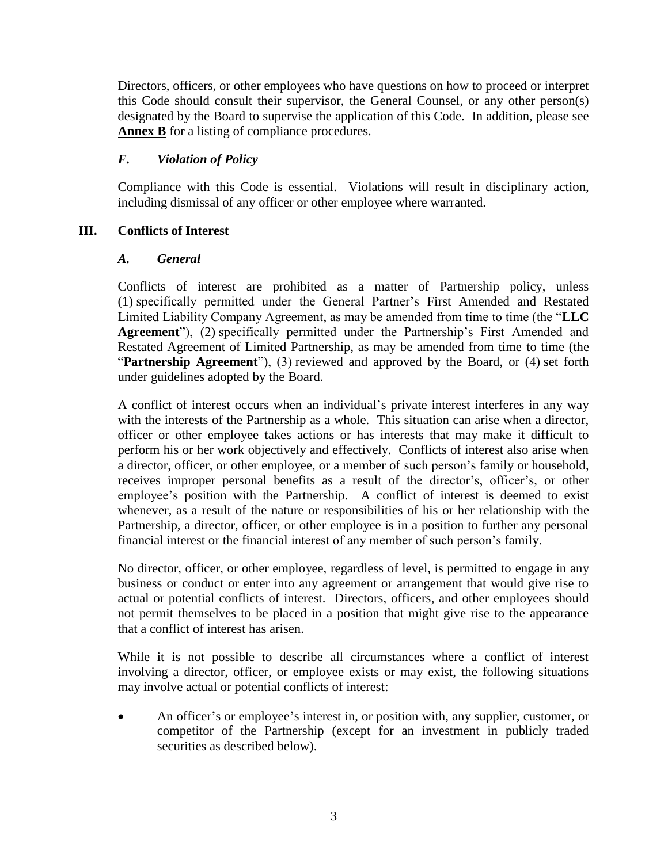Directors, officers, or other employees who have questions on how to proceed or interpret this Code should consult their supervisor, the General Counsel, or any other person(s) designated by the Board to supervise the application of this Code. In addition, please see **Annex B** for a listing of compliance procedures.

### *F. Violation of Policy*

Compliance with this Code is essential. Violations will result in disciplinary action, including dismissal of any officer or other employee where warranted.

### **III. Conflicts of Interest**

#### *A. General*

Conflicts of interest are prohibited as a matter of Partnership policy, unless (1) specifically permitted under the General Partner's First Amended and Restated Limited Liability Company Agreement, as may be amended from time to time (the "**LLC Agreement**"), (2) specifically permitted under the Partnership's First Amended and Restated Agreement of Limited Partnership, as may be amended from time to time (the "Partnership Agreement"), (3) reviewed and approved by the Board, or (4) set forth under guidelines adopted by the Board.

A conflict of interest occurs when an individual's private interest interferes in any way with the interests of the Partnership as a whole. This situation can arise when a director, officer or other employee takes actions or has interests that may make it difficult to perform his or her work objectively and effectively. Conflicts of interest also arise when a director, officer, or other employee, or a member of such person's family or household, receives improper personal benefits as a result of the director's, officer's, or other employee's position with the Partnership. A conflict of interest is deemed to exist whenever, as a result of the nature or responsibilities of his or her relationship with the Partnership, a director, officer, or other employee is in a position to further any personal financial interest or the financial interest of any member of such person's family.

No director, officer, or other employee, regardless of level, is permitted to engage in any business or conduct or enter into any agreement or arrangement that would give rise to actual or potential conflicts of interest. Directors, officers, and other employees should not permit themselves to be placed in a position that might give rise to the appearance that a conflict of interest has arisen.

While it is not possible to describe all circumstances where a conflict of interest involving a director, officer, or employee exists or may exist, the following situations may involve actual or potential conflicts of interest:

 An officer's or employee's interest in, or position with, any supplier, customer, or competitor of the Partnership (except for an investment in publicly traded securities as described below).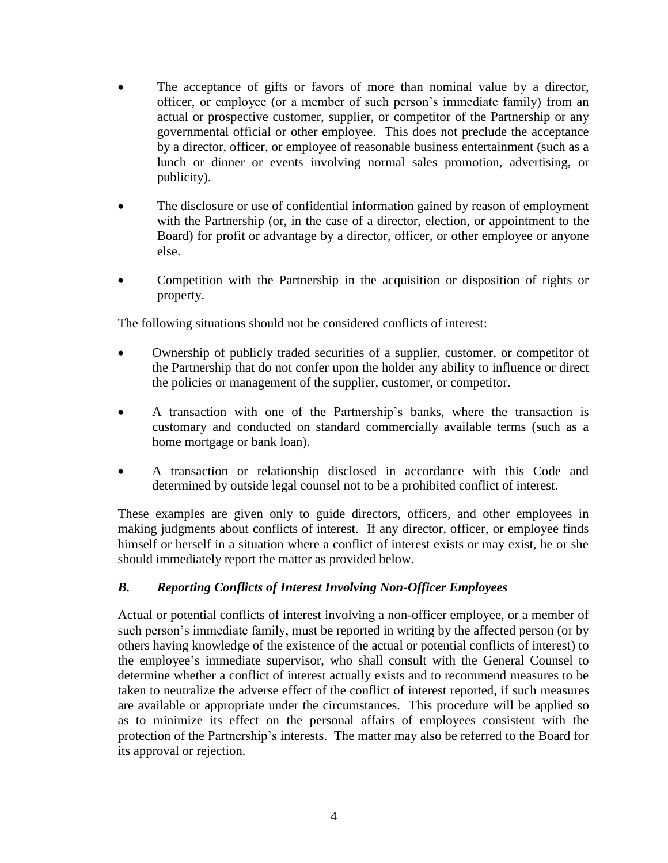- The acceptance of gifts or favors of more than nominal value by a director, officer, or employee (or a member of such person's immediate family) from an actual or prospective customer, supplier, or competitor of the Partnership or any governmental official or other employee. This does not preclude the acceptance by a director, officer, or employee of reasonable business entertainment (such as a lunch or dinner or events involving normal sales promotion, advertising, or publicity).
- The disclosure or use of confidential information gained by reason of employment with the Partnership (or, in the case of a director, election, or appointment to the Board) for profit or advantage by a director, officer, or other employee or anyone else.
- Competition with the Partnership in the acquisition or disposition of rights or property.

The following situations should not be considered conflicts of interest:

- Ownership of publicly traded securities of a supplier, customer, or competitor of the Partnership that do not confer upon the holder any ability to influence or direct the policies or management of the supplier, customer, or competitor.
- A transaction with one of the Partnership's banks, where the transaction is customary and conducted on standard commercially available terms (such as a home mortgage or bank loan).
- A transaction or relationship disclosed in accordance with this Code and determined by outside legal counsel not to be a prohibited conflict of interest.

These examples are given only to guide directors, officers, and other employees in making judgments about conflicts of interest. If any director, officer, or employee finds himself or herself in a situation where a conflict of interest exists or may exist, he or she should immediately report the matter as provided below.

### *B. Reporting Conflicts of Interest Involving Non-Officer Employees*

Actual or potential conflicts of interest involving a non-officer employee, or a member of such person's immediate family, must be reported in writing by the affected person (or by others having knowledge of the existence of the actual or potential conflicts of interest) to the employee's immediate supervisor, who shall consult with the General Counsel to determine whether a conflict of interest actually exists and to recommend measures to be taken to neutralize the adverse effect of the conflict of interest reported, if such measures are available or appropriate under the circumstances. This procedure will be applied so as to minimize its effect on the personal affairs of employees consistent with the protection of the Partnership's interests. The matter may also be referred to the Board for its approval or rejection.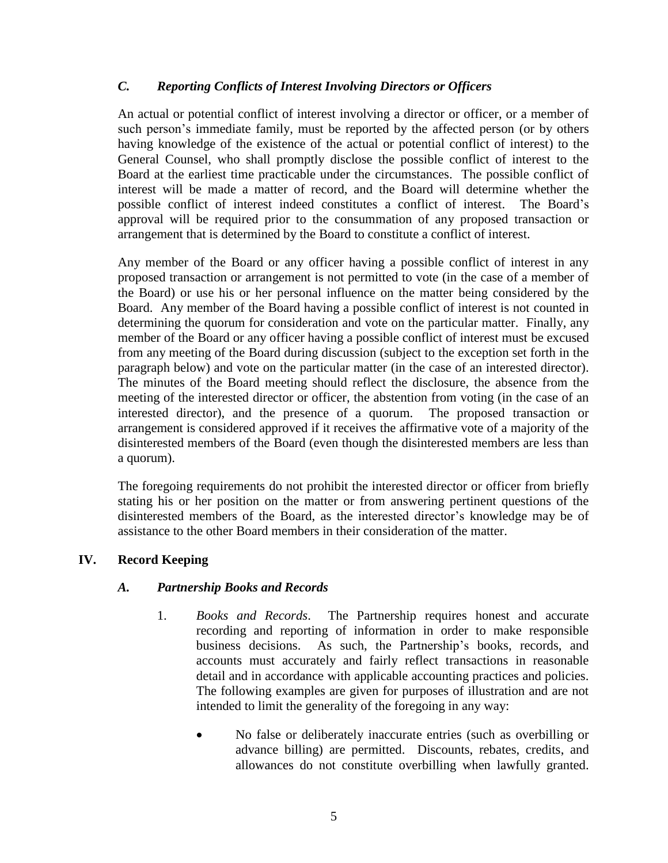### *C. Reporting Conflicts of Interest Involving Directors or Officers*

An actual or potential conflict of interest involving a director or officer, or a member of such person's immediate family, must be reported by the affected person (or by others having knowledge of the existence of the actual or potential conflict of interest) to the General Counsel, who shall promptly disclose the possible conflict of interest to the Board at the earliest time practicable under the circumstances. The possible conflict of interest will be made a matter of record, and the Board will determine whether the possible conflict of interest indeed constitutes a conflict of interest. The Board's approval will be required prior to the consummation of any proposed transaction or arrangement that is determined by the Board to constitute a conflict of interest.

Any member of the Board or any officer having a possible conflict of interest in any proposed transaction or arrangement is not permitted to vote (in the case of a member of the Board) or use his or her personal influence on the matter being considered by the Board. Any member of the Board having a possible conflict of interest is not counted in determining the quorum for consideration and vote on the particular matter. Finally, any member of the Board or any officer having a possible conflict of interest must be excused from any meeting of the Board during discussion (subject to the exception set forth in the paragraph below) and vote on the particular matter (in the case of an interested director). The minutes of the Board meeting should reflect the disclosure, the absence from the meeting of the interested director or officer, the abstention from voting (in the case of an interested director), and the presence of a quorum. The proposed transaction or arrangement is considered approved if it receives the affirmative vote of a majority of the disinterested members of the Board (even though the disinterested members are less than a quorum).

The foregoing requirements do not prohibit the interested director or officer from briefly stating his or her position on the matter or from answering pertinent questions of the disinterested members of the Board, as the interested director's knowledge may be of assistance to the other Board members in their consideration of the matter.

### **IV. Record Keeping**

### *A. Partnership Books and Records*

- 1. *Books and Records*. The Partnership requires honest and accurate recording and reporting of information in order to make responsible business decisions. As such, the Partnership's books, records, and accounts must accurately and fairly reflect transactions in reasonable detail and in accordance with applicable accounting practices and policies. The following examples are given for purposes of illustration and are not intended to limit the generality of the foregoing in any way:
	- No false or deliberately inaccurate entries (such as overbilling or advance billing) are permitted. Discounts, rebates, credits, and allowances do not constitute overbilling when lawfully granted.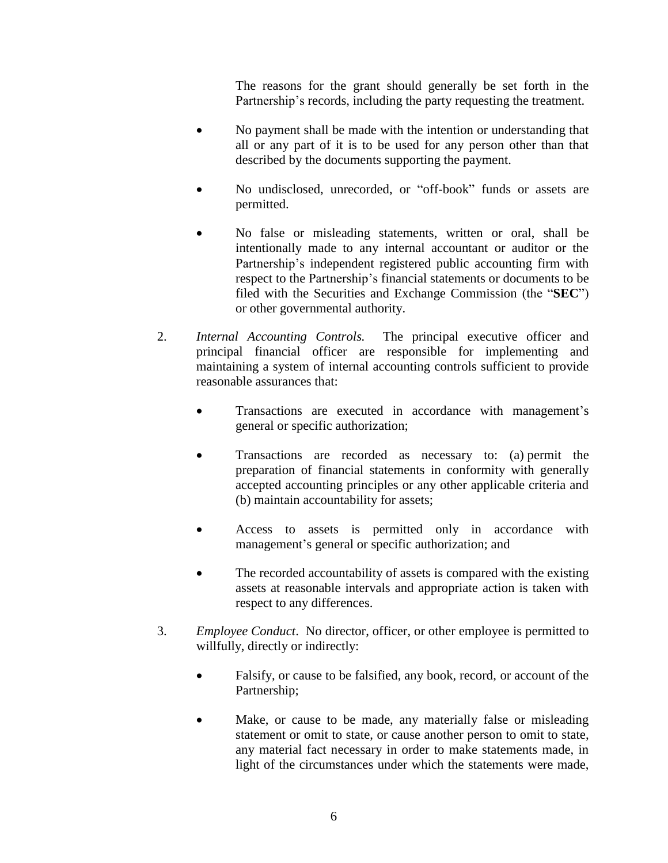The reasons for the grant should generally be set forth in the Partnership's records, including the party requesting the treatment.

- No payment shall be made with the intention or understanding that all or any part of it is to be used for any person other than that described by the documents supporting the payment.
- No undisclosed, unrecorded, or "off-book" funds or assets are permitted.
- No false or misleading statements, written or oral, shall be intentionally made to any internal accountant or auditor or the Partnership's independent registered public accounting firm with respect to the Partnership's financial statements or documents to be filed with the Securities and Exchange Commission (the "**SEC**") or other governmental authority.
- 2. *Internal Accounting Controls.* The principal executive officer and principal financial officer are responsible for implementing and maintaining a system of internal accounting controls sufficient to provide reasonable assurances that:
	- Transactions are executed in accordance with management's general or specific authorization;
	- Transactions are recorded as necessary to: (a) permit the preparation of financial statements in conformity with generally accepted accounting principles or any other applicable criteria and (b) maintain accountability for assets;
	- Access to assets is permitted only in accordance with management's general or specific authorization; and
	- The recorded accountability of assets is compared with the existing assets at reasonable intervals and appropriate action is taken with respect to any differences.
- 3. *Employee Conduct*. No director, officer, or other employee is permitted to willfully, directly or indirectly:
	- Falsify, or cause to be falsified, any book, record, or account of the Partnership;
	- Make, or cause to be made, any materially false or misleading statement or omit to state, or cause another person to omit to state, any material fact necessary in order to make statements made, in light of the circumstances under which the statements were made,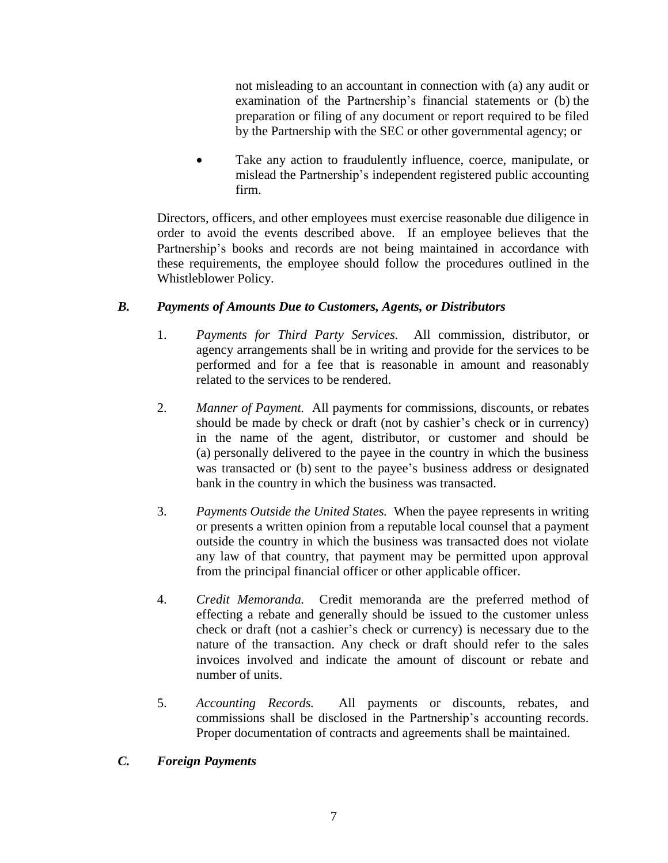not misleading to an accountant in connection with (a) any audit or examination of the Partnership's financial statements or (b) the preparation or filing of any document or report required to be filed by the Partnership with the SEC or other governmental agency; or

 Take any action to fraudulently influence, coerce, manipulate, or mislead the Partnership's independent registered public accounting firm.

Directors, officers, and other employees must exercise reasonable due diligence in order to avoid the events described above. If an employee believes that the Partnership's books and records are not being maintained in accordance with these requirements, the employee should follow the procedures outlined in the Whistleblower Policy.

### *B. Payments of Amounts Due to Customers, Agents, or Distributors*

- 1. *Payments for Third Party Services.* All commission, distributor, or agency arrangements shall be in writing and provide for the services to be performed and for a fee that is reasonable in amount and reasonably related to the services to be rendered.
- 2. *Manner of Payment.* All payments for commissions, discounts, or rebates should be made by check or draft (not by cashier's check or in currency) in the name of the agent, distributor, or customer and should be (a) personally delivered to the payee in the country in which the business was transacted or (b) sent to the payee's business address or designated bank in the country in which the business was transacted.
- 3. *Payments Outside the United States.* When the payee represents in writing or presents a written opinion from a reputable local counsel that a payment outside the country in which the business was transacted does not violate any law of that country, that payment may be permitted upon approval from the principal financial officer or other applicable officer*.*
- 4. *Credit Memoranda.* Credit memoranda are the preferred method of effecting a rebate and generally should be issued to the customer unless check or draft (not a cashier's check or currency) is necessary due to the nature of the transaction. Any check or draft should refer to the sales invoices involved and indicate the amount of discount or rebate and number of units.
- 5. *Accounting Records.* All payments or discounts, rebates, and commissions shall be disclosed in the Partnership's accounting records. Proper documentation of contracts and agreements shall be maintained.
- *C. Foreign Payments*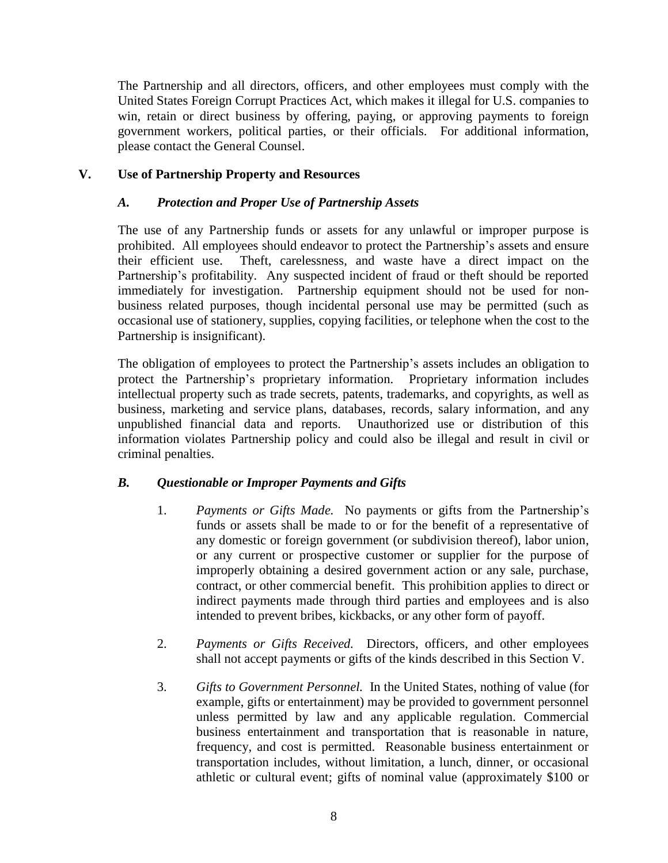The Partnership and all directors, officers, and other employees must comply with the United States Foreign Corrupt Practices Act, which makes it illegal for U.S. companies to win, retain or direct business by offering, paying, or approving payments to foreign government workers, political parties, or their officials. For additional information, please contact the General Counsel.

### **V. Use of Partnership Property and Resources**

### *A. Protection and Proper Use of Partnership Assets*

The use of any Partnership funds or assets for any unlawful or improper purpose is prohibited. All employees should endeavor to protect the Partnership's assets and ensure their efficient use. Theft, carelessness, and waste have a direct impact on the Partnership's profitability. Any suspected incident of fraud or theft should be reported immediately for investigation. Partnership equipment should not be used for nonbusiness related purposes, though incidental personal use may be permitted (such as occasional use of stationery, supplies, copying facilities, or telephone when the cost to the Partnership is insignificant).

The obligation of employees to protect the Partnership's assets includes an obligation to protect the Partnership's proprietary information. Proprietary information includes intellectual property such as trade secrets, patents, trademarks, and copyrights, as well as business, marketing and service plans, databases, records, salary information, and any unpublished financial data and reports. Unauthorized use or distribution of this information violates Partnership policy and could also be illegal and result in civil or criminal penalties.

### *B. Questionable or Improper Payments and Gifts*

- 1. *Payments or Gifts Made.* No payments or gifts from the Partnership's funds or assets shall be made to or for the benefit of a representative of any domestic or foreign government (or subdivision thereof), labor union, or any current or prospective customer or supplier for the purpose of improperly obtaining a desired government action or any sale, purchase, contract, or other commercial benefit. This prohibition applies to direct or indirect payments made through third parties and employees and is also intended to prevent bribes, kickbacks, or any other form of payoff.
- 2. *Payments or Gifts Received.* Directors, officers, and other employees shall not accept payments or gifts of the kinds described in this Section V.
- 3. *Gifts to Government Personnel.* In the United States, nothing of value (for example, gifts or entertainment) may be provided to government personnel unless permitted by law and any applicable regulation. Commercial business entertainment and transportation that is reasonable in nature, frequency, and cost is permitted. Reasonable business entertainment or transportation includes, without limitation, a lunch, dinner, or occasional athletic or cultural event; gifts of nominal value (approximately \$100 or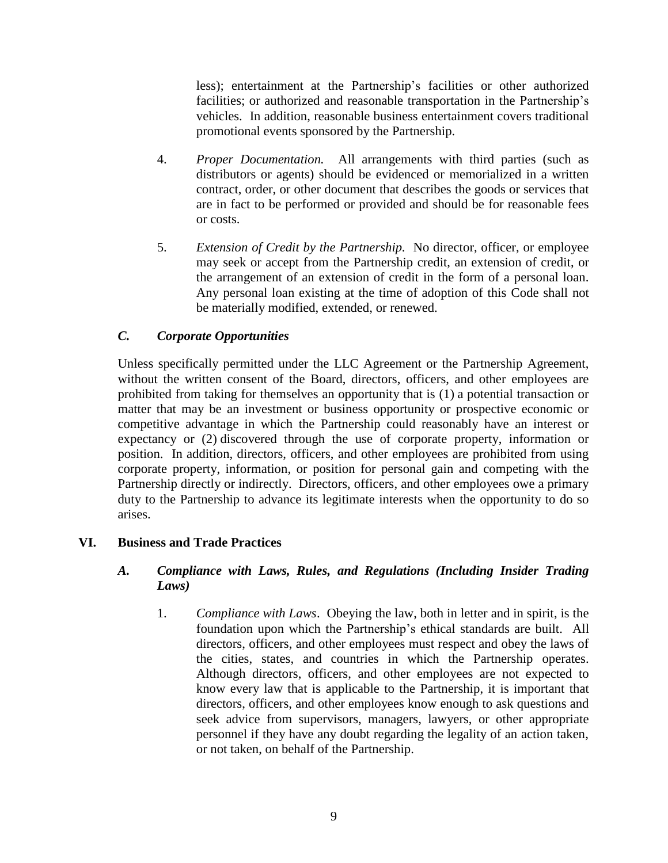less); entertainment at the Partnership's facilities or other authorized facilities; or authorized and reasonable transportation in the Partnership's vehicles. In addition, reasonable business entertainment covers traditional promotional events sponsored by the Partnership.

- 4. *Proper Documentation.* All arrangements with third parties (such as distributors or agents) should be evidenced or memorialized in a written contract, order, or other document that describes the goods or services that are in fact to be performed or provided and should be for reasonable fees or costs.
- 5. *Extension of Credit by the Partnership.* No director, officer, or employee may seek or accept from the Partnership credit, an extension of credit, or the arrangement of an extension of credit in the form of a personal loan. Any personal loan existing at the time of adoption of this Code shall not be materially modified, extended, or renewed.

### *C. Corporate Opportunities*

Unless specifically permitted under the LLC Agreement or the Partnership Agreement, without the written consent of the Board, directors, officers, and other employees are prohibited from taking for themselves an opportunity that is (1) a potential transaction or matter that may be an investment or business opportunity or prospective economic or competitive advantage in which the Partnership could reasonably have an interest or expectancy or (2) discovered through the use of corporate property, information or position. In addition, directors, officers, and other employees are prohibited from using corporate property, information, or position for personal gain and competing with the Partnership directly or indirectly. Directors, officers, and other employees owe a primary duty to the Partnership to advance its legitimate interests when the opportunity to do so arises.

### **VI. Business and Trade Practices**

### *A. Compliance with Laws, Rules, and Regulations (Including Insider Trading Laws)*

1. *Compliance with Laws*. Obeying the law, both in letter and in spirit, is the foundation upon which the Partnership's ethical standards are built. All directors, officers, and other employees must respect and obey the laws of the cities, states, and countries in which the Partnership operates. Although directors, officers, and other employees are not expected to know every law that is applicable to the Partnership, it is important that directors, officers, and other employees know enough to ask questions and seek advice from supervisors, managers, lawyers, or other appropriate personnel if they have any doubt regarding the legality of an action taken, or not taken, on behalf of the Partnership.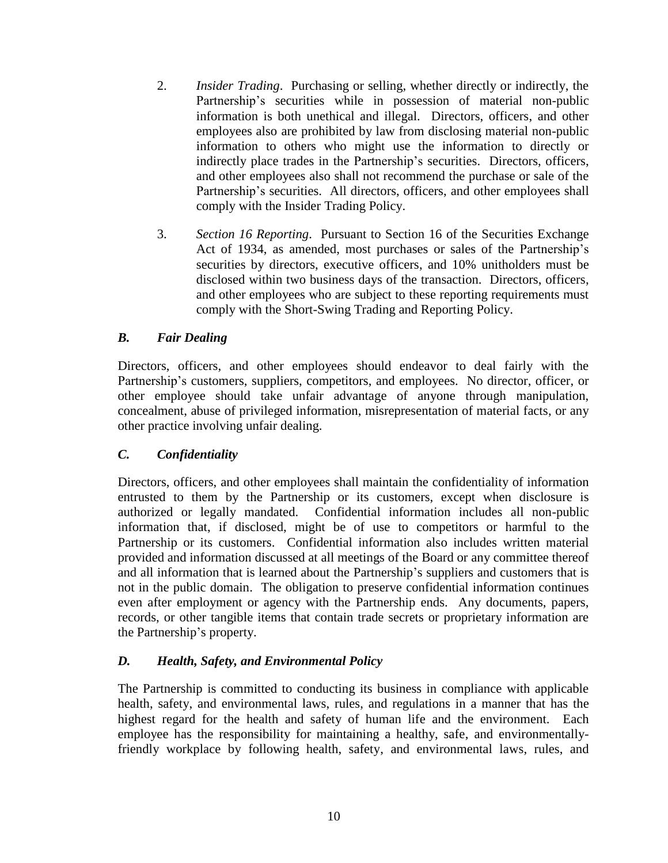- 2. *Insider Trading*. Purchasing or selling, whether directly or indirectly, the Partnership's securities while in possession of material non-public information is both unethical and illegal. Directors, officers, and other employees also are prohibited by law from disclosing material non-public information to others who might use the information to directly or indirectly place trades in the Partnership's securities. Directors, officers, and other employees also shall not recommend the purchase or sale of the Partnership's securities. All directors, officers, and other employees shall comply with the Insider Trading Policy.
- 3. *Section 16 Reporting*. Pursuant to Section 16 of the Securities Exchange Act of 1934, as amended, most purchases or sales of the Partnership's securities by directors, executive officers, and 10% unitholders must be disclosed within two business days of the transaction. Directors, officers, and other employees who are subject to these reporting requirements must comply with the Short-Swing Trading and Reporting Policy.

### *B. Fair Dealing*

Directors, officers, and other employees should endeavor to deal fairly with the Partnership's customers, suppliers, competitors, and employees. No director, officer, or other employee should take unfair advantage of anyone through manipulation, concealment, abuse of privileged information, misrepresentation of material facts, or any other practice involving unfair dealing.

#### *C. Confidentiality*

Directors, officers, and other employees shall maintain the confidentiality of information entrusted to them by the Partnership or its customers, except when disclosure is authorized or legally mandated. Confidential information includes all non-public information that, if disclosed, might be of use to competitors or harmful to the Partnership or its customers. Confidential information also includes written material provided and information discussed at all meetings of the Board or any committee thereof and all information that is learned about the Partnership's suppliers and customers that is not in the public domain. The obligation to preserve confidential information continues even after employment or agency with the Partnership ends. Any documents, papers, records, or other tangible items that contain trade secrets or proprietary information are the Partnership's property.

### *D. Health, Safety, and Environmental Policy*

The Partnership is committed to conducting its business in compliance with applicable health, safety, and environmental laws, rules, and regulations in a manner that has the highest regard for the health and safety of human life and the environment. Each employee has the responsibility for maintaining a healthy, safe, and environmentallyfriendly workplace by following health, safety, and environmental laws, rules, and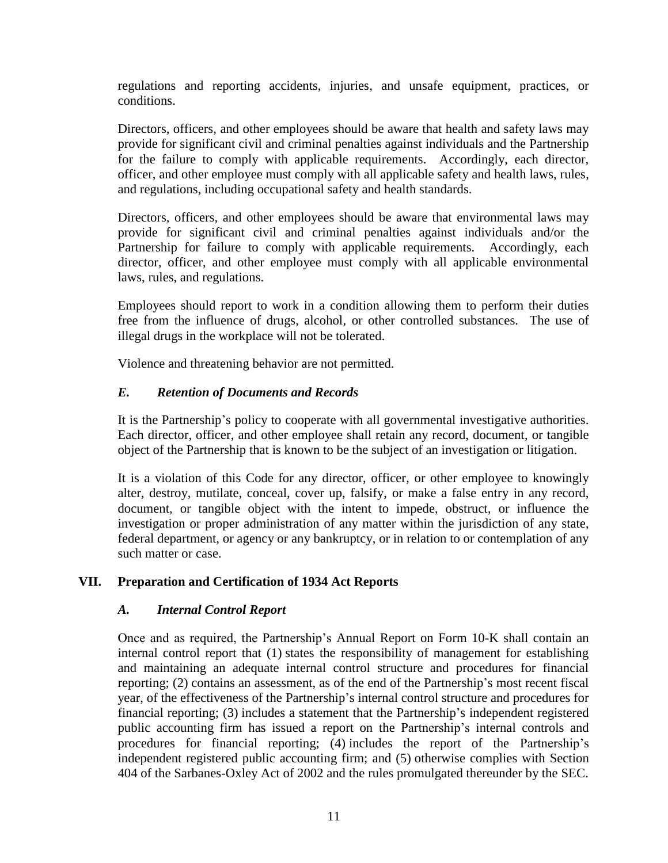regulations and reporting accidents, injuries, and unsafe equipment, practices, or conditions.

Directors, officers, and other employees should be aware that health and safety laws may provide for significant civil and criminal penalties against individuals and the Partnership for the failure to comply with applicable requirements. Accordingly, each director, officer, and other employee must comply with all applicable safety and health laws, rules, and regulations, including occupational safety and health standards.

Directors, officers, and other employees should be aware that environmental laws may provide for significant civil and criminal penalties against individuals and/or the Partnership for failure to comply with applicable requirements. Accordingly, each director, officer, and other employee must comply with all applicable environmental laws, rules, and regulations.

Employees should report to work in a condition allowing them to perform their duties free from the influence of drugs, alcohol, or other controlled substances. The use of illegal drugs in the workplace will not be tolerated.

Violence and threatening behavior are not permitted.

### *E. Retention of Documents and Records*

It is the Partnership's policy to cooperate with all governmental investigative authorities. Each director, officer, and other employee shall retain any record, document, or tangible object of the Partnership that is known to be the subject of an investigation or litigation.

It is a violation of this Code for any director, officer, or other employee to knowingly alter, destroy, mutilate, conceal, cover up, falsify, or make a false entry in any record, document, or tangible object with the intent to impede, obstruct, or influence the investigation or proper administration of any matter within the jurisdiction of any state, federal department, or agency or any bankruptcy, or in relation to or contemplation of any such matter or case.

### **VII. Preparation and Certification of 1934 Act Reports**

### *A. Internal Control Report*

Once and as required, the Partnership's Annual Report on Form 10-K shall contain an internal control report that (1) states the responsibility of management for establishing and maintaining an adequate internal control structure and procedures for financial reporting; (2) contains an assessment, as of the end of the Partnership's most recent fiscal year, of the effectiveness of the Partnership's internal control structure and procedures for financial reporting; (3) includes a statement that the Partnership's independent registered public accounting firm has issued a report on the Partnership's internal controls and procedures for financial reporting; (4) includes the report of the Partnership's independent registered public accounting firm; and (5) otherwise complies with Section 404 of the Sarbanes-Oxley Act of 2002 and the rules promulgated thereunder by the SEC.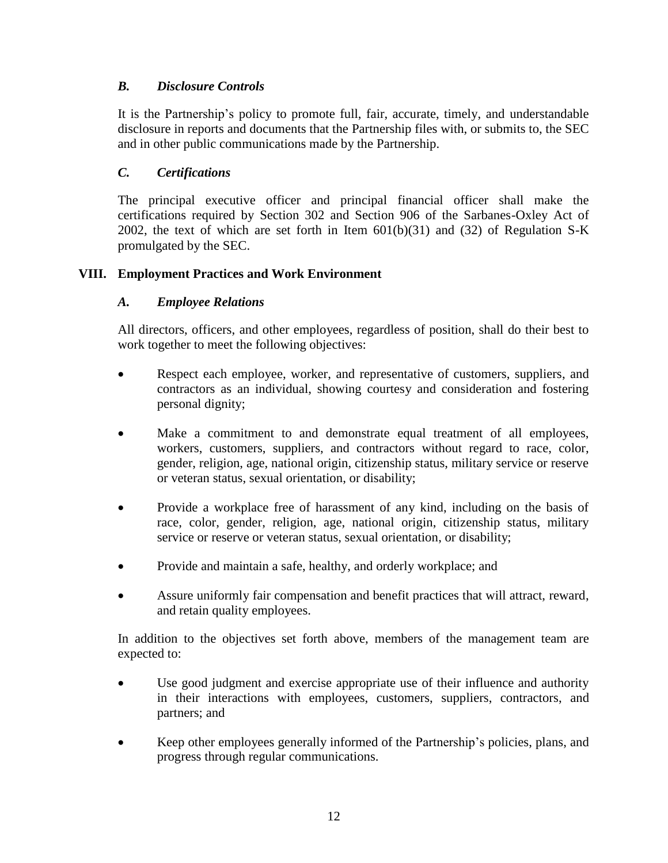## *B. Disclosure Controls*

It is the Partnership's policy to promote full, fair, accurate, timely, and understandable disclosure in reports and documents that the Partnership files with, or submits to, the SEC and in other public communications made by the Partnership.

### *C. Certifications*

The principal executive officer and principal financial officer shall make the certifications required by Section 302 and Section 906 of the Sarbanes-Oxley Act of 2002, the text of which are set forth in Item  $601(b)(31)$  and  $(32)$  of Regulation S-K promulgated by the SEC.

### **VIII. Employment Practices and Work Environment**

### *A. Employee Relations*

All directors, officers, and other employees, regardless of position, shall do their best to work together to meet the following objectives:

- Respect each employee, worker, and representative of customers, suppliers, and contractors as an individual, showing courtesy and consideration and fostering personal dignity;
- Make a commitment to and demonstrate equal treatment of all employees, workers, customers, suppliers, and contractors without regard to race, color, gender, religion, age, national origin, citizenship status, military service or reserve or veteran status, sexual orientation, or disability;
- Provide a workplace free of harassment of any kind, including on the basis of race, color, gender, religion, age, national origin, citizenship status, military service or reserve or veteran status, sexual orientation, or disability;
- Provide and maintain a safe, healthy, and orderly workplace; and
- Assure uniformly fair compensation and benefit practices that will attract, reward, and retain quality employees.

In addition to the objectives set forth above, members of the management team are expected to:

- Use good judgment and exercise appropriate use of their influence and authority in their interactions with employees, customers, suppliers, contractors, and partners; and
- Keep other employees generally informed of the Partnership's policies, plans, and progress through regular communications.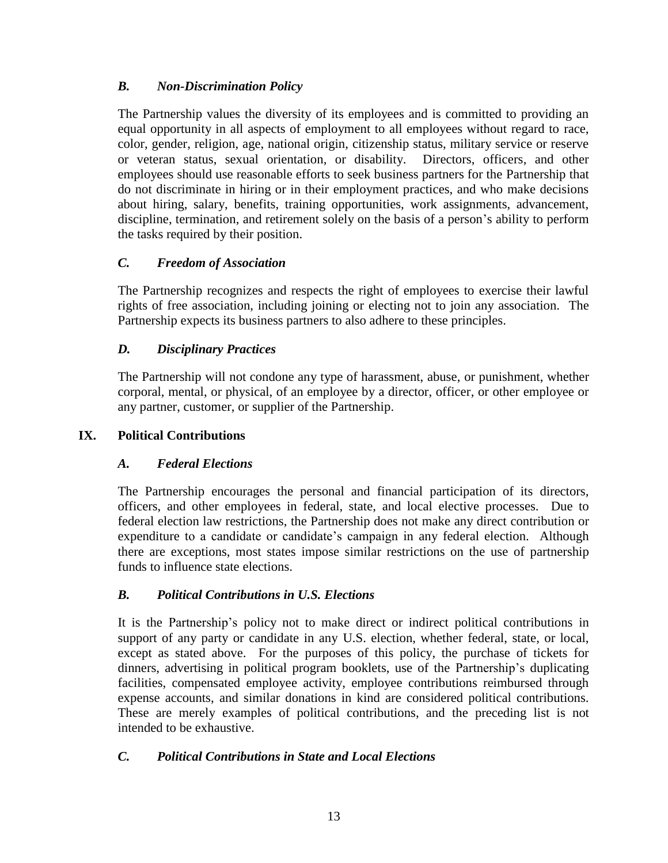## *B. Non-Discrimination Policy*

The Partnership values the diversity of its employees and is committed to providing an equal opportunity in all aspects of employment to all employees without regard to race, color, gender, religion, age, national origin, citizenship status, military service or reserve or veteran status, sexual orientation, or disability. Directors, officers, and other employees should use reasonable efforts to seek business partners for the Partnership that do not discriminate in hiring or in their employment practices, and who make decisions about hiring, salary, benefits, training opportunities, work assignments, advancement, discipline, termination, and retirement solely on the basis of a person's ability to perform the tasks required by their position.

# *C. Freedom of Association*

The Partnership recognizes and respects the right of employees to exercise their lawful rights of free association, including joining or electing not to join any association. The Partnership expects its business partners to also adhere to these principles.

# *D. Disciplinary Practices*

The Partnership will not condone any type of harassment, abuse, or punishment, whether corporal, mental, or physical, of an employee by a director, officer, or other employee or any partner, customer, or supplier of the Partnership.

# **IX. Political Contributions**

# *A. Federal Elections*

The Partnership encourages the personal and financial participation of its directors, officers, and other employees in federal, state, and local elective processes. Due to federal election law restrictions, the Partnership does not make any direct contribution or expenditure to a candidate or candidate's campaign in any federal election. Although there are exceptions, most states impose similar restrictions on the use of partnership funds to influence state elections.

# *B. Political Contributions in U.S. Elections*

It is the Partnership's policy not to make direct or indirect political contributions in support of any party or candidate in any U.S. election, whether federal, state, or local, except as stated above. For the purposes of this policy, the purchase of tickets for dinners, advertising in political program booklets, use of the Partnership's duplicating facilities, compensated employee activity, employee contributions reimbursed through expense accounts, and similar donations in kind are considered political contributions. These are merely examples of political contributions, and the preceding list is not intended to be exhaustive.

# *C. Political Contributions in State and Local Elections*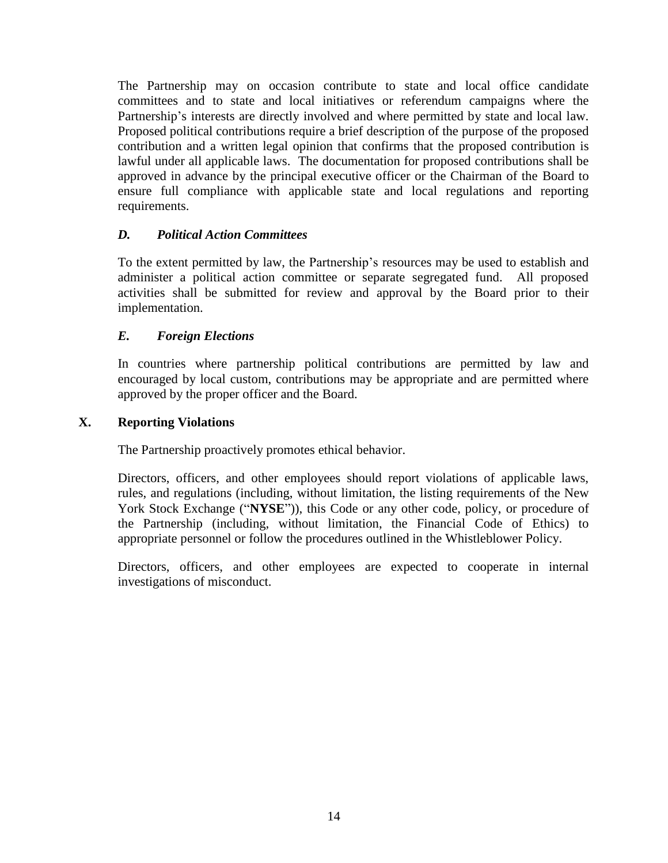The Partnership may on occasion contribute to state and local office candidate committees and to state and local initiatives or referendum campaigns where the Partnership's interests are directly involved and where permitted by state and local law. Proposed political contributions require a brief description of the purpose of the proposed contribution and a written legal opinion that confirms that the proposed contribution is lawful under all applicable laws. The documentation for proposed contributions shall be approved in advance by the principal executive officer or the Chairman of the Board to ensure full compliance with applicable state and local regulations and reporting requirements.

### *D. Political Action Committees*

To the extent permitted by law, the Partnership's resources may be used to establish and administer a political action committee or separate segregated fund. All proposed activities shall be submitted for review and approval by the Board prior to their implementation.

### *E. Foreign Elections*

In countries where partnership political contributions are permitted by law and encouraged by local custom, contributions may be appropriate and are permitted where approved by the proper officer and the Board.

### **X. Reporting Violations**

The Partnership proactively promotes ethical behavior.

Directors, officers, and other employees should report violations of applicable laws, rules, and regulations (including, without limitation, the listing requirements of the New York Stock Exchange ("**NYSE**")), this Code or any other code, policy, or procedure of the Partnership (including, without limitation, the Financial Code of Ethics) to appropriate personnel or follow the procedures outlined in the Whistleblower Policy.

Directors, officers, and other employees are expected to cooperate in internal investigations of misconduct.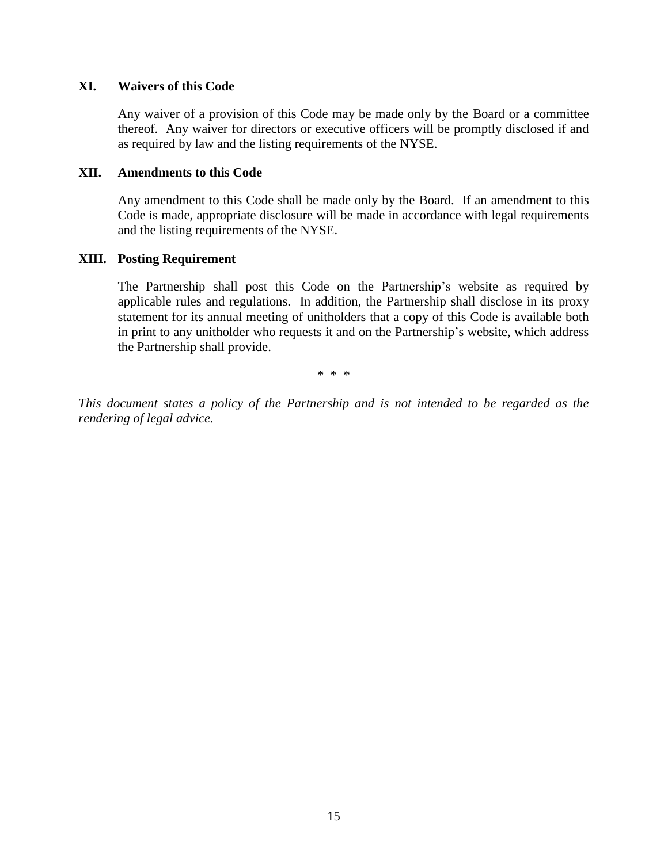#### **XI. Waivers of this Code**

Any waiver of a provision of this Code may be made only by the Board or a committee thereof. Any waiver for directors or executive officers will be promptly disclosed if and as required by law and the listing requirements of the NYSE.

#### **XII. Amendments to this Code**

Any amendment to this Code shall be made only by the Board. If an amendment to this Code is made, appropriate disclosure will be made in accordance with legal requirements and the listing requirements of the NYSE.

#### **XIII. Posting Requirement**

The Partnership shall post this Code on the Partnership's website as required by applicable rules and regulations. In addition, the Partnership shall disclose in its proxy statement for its annual meeting of unitholders that a copy of this Code is available both in print to any unitholder who requests it and on the Partnership's website, which address the Partnership shall provide.

\* \* \*

*This document states a policy of the Partnership and is not intended to be regarded as the rendering of legal advice.*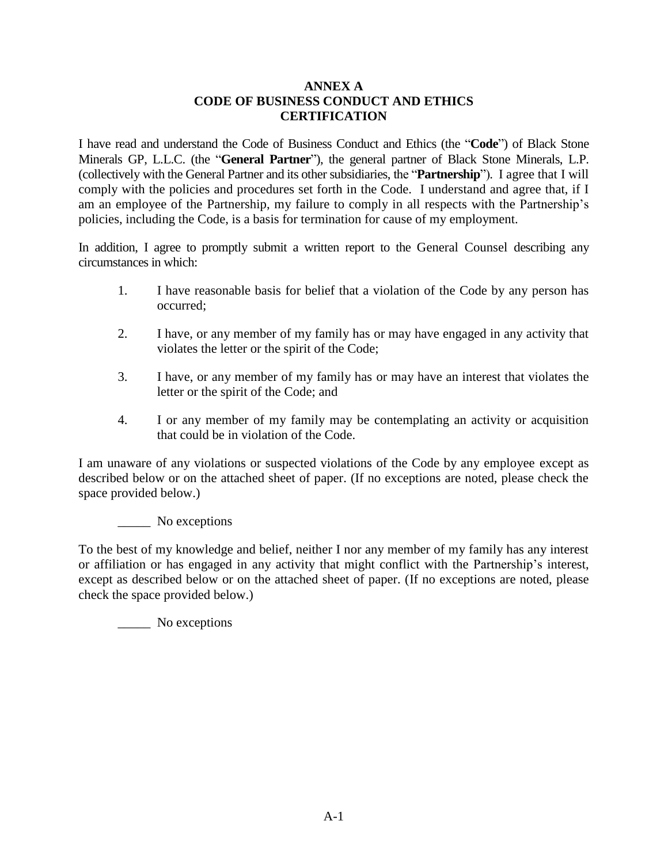#### **ANNEX A CODE OF BUSINESS CONDUCT AND ETHICS CERTIFICATION**

I have read and understand the Code of Business Conduct and Ethics (the "**Code**") of Black Stone Minerals GP, L.L.C. (the "**General Partner**"), the general partner of Black Stone Minerals, L.P. (collectively with the General Partner and its other subsidiaries, the "**Partnership**"). I agree that I will comply with the policies and procedures set forth in the Code. I understand and agree that, if I am an employee of the Partnership, my failure to comply in all respects with the Partnership's policies, including the Code, is a basis for termination for cause of my employment.

In addition, I agree to promptly submit a written report to the General Counsel describing any circumstances in which:

- 1. I have reasonable basis for belief that a violation of the Code by any person has occurred;
- 2. I have, or any member of my family has or may have engaged in any activity that violates the letter or the spirit of the Code;
- 3. I have, or any member of my family has or may have an interest that violates the letter or the spirit of the Code; and
- 4. I or any member of my family may be contemplating an activity or acquisition that could be in violation of the Code.

I am unaware of any violations or suspected violations of the Code by any employee except as described below or on the attached sheet of paper. (If no exceptions are noted, please check the space provided below.)

\_\_\_\_\_ No exceptions

To the best of my knowledge and belief, neither I nor any member of my family has any interest or affiliation or has engaged in any activity that might conflict with the Partnership's interest, except as described below or on the attached sheet of paper. (If no exceptions are noted, please check the space provided below.)

\_\_\_\_\_ No exceptions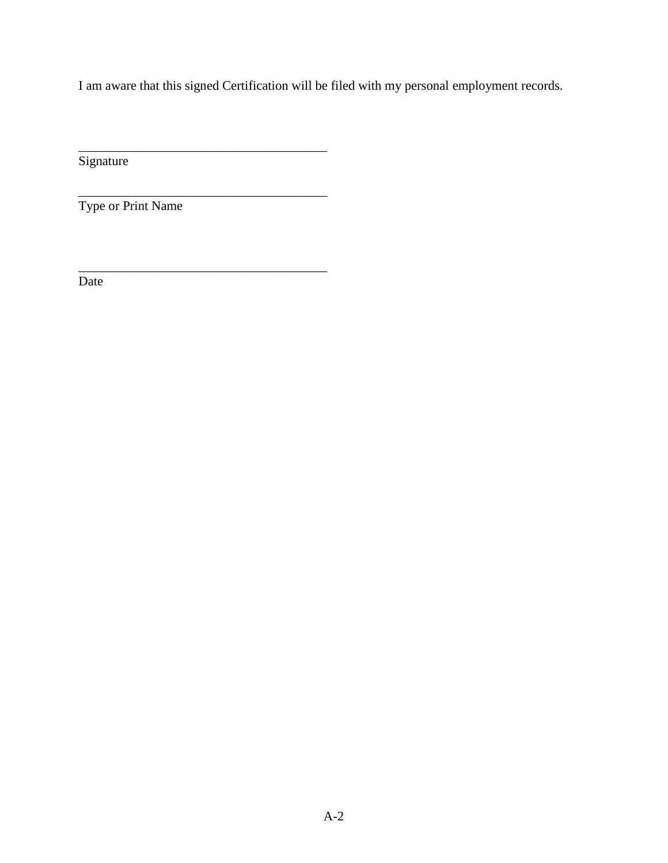I am aware that this signed Certification will be filed with my personal employment records.

**Signature** 

Type or Print Name

\_\_\_\_\_\_\_\_\_\_\_\_\_\_\_\_\_\_\_\_\_\_\_\_\_\_\_\_\_\_\_\_\_\_\_\_\_\_

\_\_\_\_\_\_\_\_\_\_\_\_\_\_\_\_\_\_\_\_\_\_\_\_\_\_\_\_\_\_\_\_\_\_\_\_\_\_

\_\_\_\_\_\_\_\_\_\_\_\_\_\_\_\_\_\_\_\_\_\_\_\_\_\_\_\_\_\_\_\_\_\_\_\_\_\_

Date